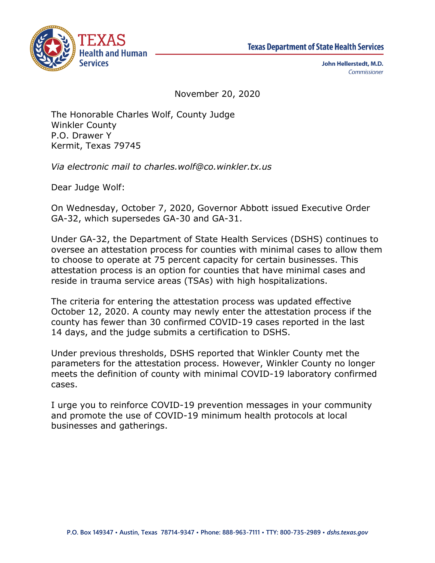



John Hellerstedt, M.D. Commissioner

November 20, 2020

The Honorable Charles Wolf, County Judge Winkler County P.O. Drawer Y Kermit, Texas 79745

*Via electronic mail to charles.wolf@co.winkler.tx.us*

Dear Judge Wolf:

On Wednesday, October 7, 2020, Governor Abbott issued Executive Order GA-32, which supersedes GA-30 and GA-31.

Under GA-32, the Department of State Health Services (DSHS) continues to oversee an attestation process for counties with minimal cases to allow them to choose to operate at 75 percent capacity for certain businesses. This attestation process is an option for counties that have minimal cases and reside in trauma service areas (TSAs) with high hospitalizations.

The criteria for entering the attestation process was updated effective October 12, 2020. A county may newly enter the attestation process if the county has fewer than 30 confirmed COVID-19 cases reported in the last 14 days, and the judge submits a certification to DSHS.

Under previous thresholds, DSHS reported that Winkler County met the parameters for the attestation process. However, Winkler County no longer meets the definition of county with minimal COVID-19 laboratory confirmed cases.

I urge you to reinforce COVID-19 prevention messages in your community and promote the use of COVID-19 minimum health protocols at local businesses and gatherings.